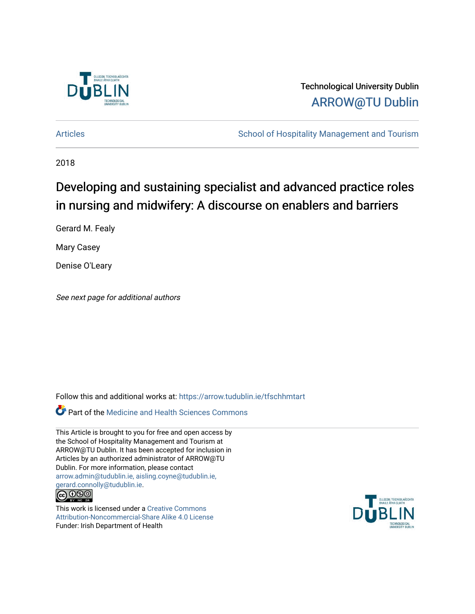

Technological University Dublin [ARROW@TU Dublin](https://arrow.tudublin.ie/) 

[Articles](https://arrow.tudublin.ie/tfschhmtart) **School of Hospitality Management and Tourism** 

2018

## Developing and sustaining specialist and advanced practice roles in nursing and midwifery: A discourse on enablers and barriers

Gerard M. Fealy

Mary Casey

Denise O'Leary

See next page for additional authors

Follow this and additional works at: [https://arrow.tudublin.ie/tfschhmtart](https://arrow.tudublin.ie/tfschhmtart?utm_source=arrow.tudublin.ie%2Ftfschhmtart%2F94&utm_medium=PDF&utm_campaign=PDFCoverPages) 

**Part of the Medicine and Health Sciences Commons** 

This Article is brought to you for free and open access by the School of Hospitality Management and Tourism at ARROW@TU Dublin. It has been accepted for inclusion in Articles by an authorized administrator of ARROW@TU Dublin. For more information, please contact [arrow.admin@tudublin.ie, aisling.coyne@tudublin.ie,](mailto:arrow.admin@tudublin.ie,%20aisling.coyne@tudublin.ie,%20gerard.connolly@tudublin.ie)  [gerard.connolly@tudublin.ie](mailto:arrow.admin@tudublin.ie,%20aisling.coyne@tudublin.ie,%20gerard.connolly@tudublin.ie).



This work is licensed under a [Creative Commons](http://creativecommons.org/licenses/by-nc-sa/4.0/) [Attribution-Noncommercial-Share Alike 4.0 License](http://creativecommons.org/licenses/by-nc-sa/4.0/) Funder: Irish Department of Health

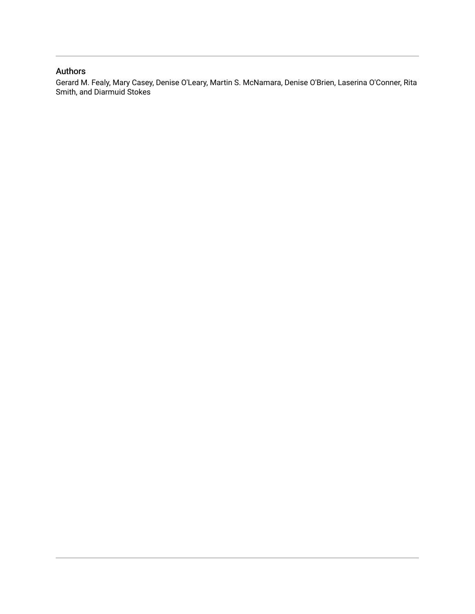## Authors

Gerard M. Fealy, Mary Casey, Denise O'Leary, Martin S. McNamara, Denise O'Brien, Laserina O'Conner, Rita Smith, and Diarmuid Stokes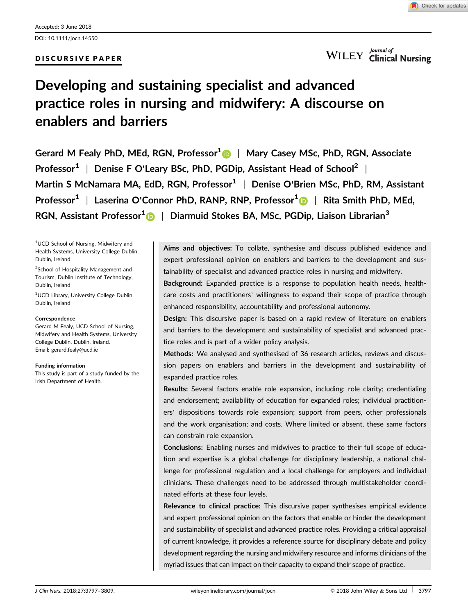DOI: 10.1111/jocn.14550

## DISCURSIVE PAPER

## WILEY Clinical Nursing Journal of

## **Developing and sustaining specialist and advanced practice roles in nursing and midwifery: A discourse on enablers and barriers**

**Gerard M Fealy PhD, MEd, RGN, Professor<sup>1</sup>** | **Mary Casey MSc, PhD, RGN, Associate Professor<sup>1</sup>** | **Denise F O'Leary BSc, PhD, PGDip, Assistant Head of School<sup>2</sup>** | **Martin S McNamara MA, EdD, RGN, Professor<sup>1</sup>** | **Denise O'Brien MSc, PhD, RM, Assistant Professor<sup>1</sup>** | **Laserina O'Connor PhD, RANP, RNP, Professor<sup>1</sup>** | **Rita Smith PhD, MEd, RGN, Assistant Professor[1](http://orcid.org/0000-0002-9090-9642)** | **Diarmuid Stokes BA, MSc, PGDip, Liaison Librarian<sup>3</sup>**

<sup>1</sup>UCD School of Nursing, Midwifery and Health Systems, University College Dublin, Dublin, Ireland

<sup>2</sup>School of Hospitality Management and Tourism, Dublin Institute of Technology, Dublin, Ireland

<sup>3</sup>UCD Library, University College Dublin, Dublin, Ireland

#### **Correspondence**

Gerard M Fealy, UCD School of Nursing, Midwifery and Health Systems, University College Dublin, Dublin, Ireland. Email: gerard.fealy@ucd.ie

**Funding information**

This study is part of a study funded by the Irish Department of Health.

**Aims and objectives:** To collate, synthesise and discuss published evidence and expert professional opinion on enablers and barriers to the development and sustainability of specialist and advanced practice roles in nursing and midwifery.

**Background:** Expanded practice is a response to population health needs, healthcare costs and practitioners' willingness to expand their scope of practice through enhanced responsibility, accountability and professional autonomy.

**Design:** This discursive paper is based on a rapid review of literature on enablers and barriers to the development and sustainability of specialist and advanced practice roles and is part of a wider policy analysis.

**Methods:** We analysed and synthesised of 36 research articles, reviews and discussion papers on enablers and barriers in the development and sustainability of expanded practice roles.

**Results:** Several factors enable role expansion, including: role clarity; credentialing and endorsement; availability of education for expanded roles; individual practitioners' dispositions towards role expansion; support from peers, other professionals and the work organisation; and costs. Where limited or absent, these same factors can constrain role expansion.

**Conclusions:** Enabling nurses and midwives to practice to their full scope of education and expertise is a global challenge for disciplinary leadership, a national challenge for professional regulation and a local challenge for employers and individual clinicians. These challenges need to be addressed through multistakeholder coordinated efforts at these four levels.

**Relevance to clinical practice:** This discursive paper synthesises empirical evidence and expert professional opinion on the factors that enable or hinder the development and sustainability of specialist and advanced practice roles. Providing a critical appraisal of current knowledge, it provides a reference source for disciplinary debate and policy development regarding the nursing and midwifery resource and informs clinicians of the myriad issues that can impact on their capacity to expand their scope of practice.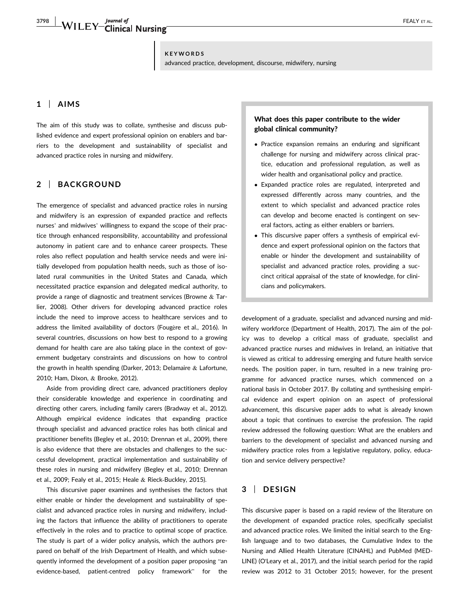#### **KEYWORDS**

advanced practice, development, discourse, midwifery, nursing

## **1** | **AIMS**

The aim of this study was to collate, synthesise and discuss published evidence and expert professional opinion on enablers and barriers to the development and sustainability of specialist and advanced practice roles in nursing and midwifery.

## **2** | **BACKGROUND**

The emergence of specialist and advanced practice roles in nursing and midwifery is an expression of expanded practice and reflects nurses' and midwives' willingness to expand the scope of their practice through enhanced responsibility, accountability and professional autonomy in patient care and to enhance career prospects. These roles also reflect population and health service needs and were initially developed from population health needs, such as those of isolated rural communities in the United States and Canada, which necessitated practice expansion and delegated medical authority, to provide a range of diagnostic and treatment services (Browne & Tarlier, 2008). Other drivers for developing advanced practice roles include the need to improve access to healthcare services and to address the limited availability of doctors (Fougère et al., 2016). In several countries, discussions on how best to respond to a growing demand for health care are also taking place in the context of government budgetary constraints and discussions on how to control the growth in health spending (Darker, 2013; Delamaire & Lafortune, 2010; Ham, Dixon, & Brooke, 2012).

Aside from providing direct care, advanced practitioners deploy their considerable knowledge and experience in coordinating and directing other carers, including family carers (Bradway et al., 2012). Although empirical evidence indicates that expanding practice through specialist and advanced practice roles has both clinical and practitioner benefits (Begley et al., 2010; Drennan et al., 2009), there is also evidence that there are obstacles and challenges to the successful development, practical implementation and sustainability of these roles in nursing and midwifery (Begley et al., 2010; Drennan et al., 2009; Fealy et al., 2015; Heale & Rieck‐Buckley, 2015).

This discursive paper examines and synthesises the factors that either enable or hinder the development and sustainability of specialist and advanced practice roles in nursing and midwifery, including the factors that influence the ability of practitioners to operate effectively in the roles and to practice to optimal scope of practice. The study is part of a wider policy analysis, which the authors prepared on behalf of the Irish Department of Health, and which subsequently informed the development of a position paper proposing "an evidence‐based, patient‐centred policy framework" for the

## What does this paper contribute to the wider global clinical community?

- Practice expansion remains an enduring and significant challenge for nursing and midwifery across clinical practice, education and professional regulation, as well as wider health and organisational policy and practice.
- Expanded practice roles are regulated, interpreted and expressed differently across many countries, and the extent to which specialist and advanced practice roles can develop and become enacted is contingent on several factors, acting as either enablers or barriers.
- This discursive paper offers a synthesis of empirical evidence and expert professional opinion on the factors that enable or hinder the development and sustainability of specialist and advanced practice roles, providing a succinct critical appraisal of the state of knowledge, for clinicians and policymakers.

development of a graduate, specialist and advanced nursing and midwifery workforce (Department of Health, 2017). The aim of the policy was to develop a critical mass of graduate, specialist and advanced practice nurses and midwives in Ireland, an initiative that is viewed as critical to addressing emerging and future health service needs. The position paper, in turn, resulted in a new training programme for advanced practice nurses, which commenced on a national basis in October 2017. By collating and synthesising empirical evidence and expert opinion on an aspect of professional advancement, this discursive paper adds to what is already known about a topic that continues to exercise the profession. The rapid review addressed the following question: What are the enablers and barriers to the development of specialist and advanced nursing and midwifery practice roles from a legislative regulatory, policy, education and service delivery perspective?

## **3** | **DESIGN**

This discursive paper is based on a rapid review of the literature on the development of expanded practice roles, specifically specialist and advanced practice roles. We limited the initial search to the English language and to two databases, the Cumulative Index to the Nursing and Allied Health Literature (CINAHL) and PubMed (MED-LINE) (O'Leary et al., 2017), and the initial search period for the rapid review was 2012 to 31 October 2015; however, for the present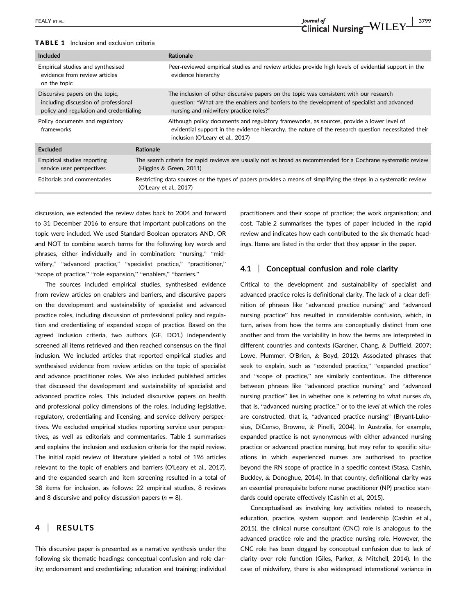|  |  |  | <b>TABLE 1</b> Inclusion and exclusion criteria |  |  |
|--|--|--|-------------------------------------------------|--|--|
|  |  |  |                                                 |  |  |

| <b>Included</b>                                                                                                    | <b>Rationale</b>                                                                                                                                                                                                                      |  |  |
|--------------------------------------------------------------------------------------------------------------------|---------------------------------------------------------------------------------------------------------------------------------------------------------------------------------------------------------------------------------------|--|--|
| Empirical studies and synthesised<br>evidence from review articles<br>on the topic                                 | Peer-reviewed empirical studies and review articles provide high levels of evidential support in the<br>evidence hierarchy                                                                                                            |  |  |
| Discursive papers on the topic,<br>including discussion of professional<br>policy and regulation and credentialing | The inclusion of other discursive papers on the topic was consistent with our research<br>question: "What are the enablers and barriers to the development of specialist and advanced<br>nursing and midwifery practice roles?"       |  |  |
| Policy documents and regulatory<br>frameworks                                                                      | Although policy documents and regulatory frameworks, as sources, provide a lower level of<br>evidential support in the evidence hierarchy, the nature of the research question necessitated their<br>inclusion (O'Leary et al., 2017) |  |  |
| Excluded                                                                                                           | <b>Rationale</b>                                                                                                                                                                                                                      |  |  |
| Empirical studies reporting<br>service user perspectives                                                           | The search criteria for rapid reviews are usually not as broad as recommended for a Cochrane systematic review<br>(Higgins $\&$ Green, 2011)                                                                                          |  |  |
| Editorials and commentaries                                                                                        | Restricting data sources or the types of papers provides a means of simplifying the steps in a systematic review<br>(O'Leary et al., 2017)                                                                                            |  |  |

discussion, we extended the review dates back to 2004 and forward to 31 December 2016 to ensure that important publications on the topic were included. We used Standard Boolean operators AND, OR and NOT to combine search terms for the following key words and phrases, either individually and in combination: "nursing," "midwifery," "advanced practice," "specialist practice," "practitioner," "scope of practice," "role expansion," "enablers," "barriers."

The sources included empirical studies, synthesised evidence from review articles on enablers and barriers, and discursive papers on the development and sustainability of specialist and advanced practice roles, including discussion of professional policy and regulation and credentialing of expanded scope of practice. Based on the agreed inclusion criteria, two authors (GF, DO'L) independently screened all items retrieved and then reached consensus on the final inclusion. We included articles that reported empirical studies and synthesised evidence from review articles on the topic of specialist and advance practitioner roles. We also included published articles that discussed the development and sustainability of specialist and advanced practice roles. This included discursive papers on health and professional policy dimensions of the roles, including legislative, regulatory, credentialing and licensing, and service delivery perspectives. We excluded empirical studies reporting service user perspectives, as well as editorials and commentaries. Table 1 summarises and explains the inclusion and exclusion criteria for the rapid review. The initial rapid review of literature yielded a total of 196 articles relevant to the topic of enablers and barriers (O'Leary et al., 2017), and the expanded search and item screening resulted in a total of 38 items for inclusion, as follows: 22 empirical studies, 8 reviews and 8 discursive and policy discussion papers  $(n = 8)$ .

## **4** | **RESULTS**

This discursive paper is presented as a narrative synthesis under the following six thematic headings: conceptual confusion and role clarity; endorsement and credentialing; education and training; individual practitioners and their scope of practice; the work organisation; and cost. Table 2 summarises the types of paper included in the rapid review and indicates how each contributed to the six thematic headings. Items are listed in the order that they appear in the paper.

#### **4.1** | **Conceptual confusion and role clarity**

Critical to the development and sustainability of specialist and advanced practice roles is definitional clarity. The lack of a clear definition of phrases like "advanced practice nursing" and "advanced nursing practice" has resulted in considerable confusion, which, in turn, arises from how the terms are conceptually distinct from one another and from the variability in how the terms are interpreted in different countries and contexts (Gardner, Chang, & Duffield, 2007; Lowe, Plummer, O'Brien, & Boyd, 2012). Associated phrases that seek to explain, such as "extended practice," "expanded practice" and "scope of practice," are similarly contentious. The difference between phrases like "advanced practice nursing" and "advanced nursing practice" lies in whether one is referring to what nurses *do*, that is, "advanced nursing practice," or to the *level* at which the roles are constructed, that is, "advanced practice nursing" (Bryant-Lukosius, DiCenso, Browne, & Pinelli, 2004). In Australia, for example, expanded practice is not synonymous with either advanced nursing practice or advanced practice nursing, but may refer to specific situations in which experienced nurses are authorised to practice beyond the RN scope of practice in a specific context (Stasa, Cashin, Buckley, & Donoghue, 2014). In that country, definitional clarity was an essential prerequisite before nurse practitioner (NP) practice standards could operate effectively (Cashin et al., 2015).

Conceptualised as involving key activities related to research, education, practice, system support and leadership (Cashin et al., 2015), the clinical nurse consultant (CNC) role is analogous to the advanced practice role and the practice nursing role. However, the CNC role has been dogged by conceptual confusion due to lack of clarity over role function (Giles, Parker, & Mitchell, 2014). In the case of midwifery, there is also widespread international variance in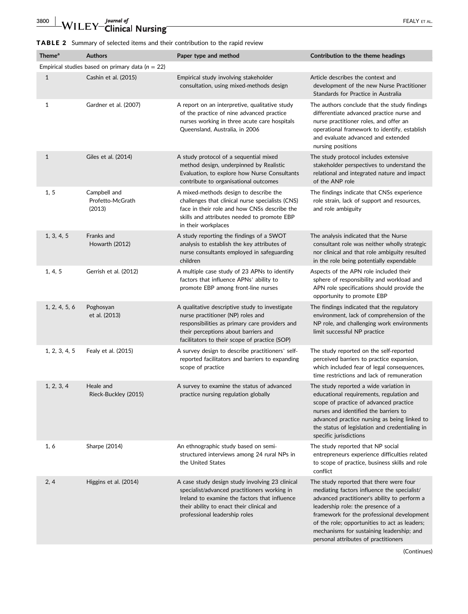# **3800** WILEY Journal of FEALY ET AL.

TABLE 2 Summary of selected items and their contribution to the rapid review

| Theme <sup>a</sup>                                   | <b>Authors</b>                             | Paper type and method                                                                                                                                                                                                          | Contribution to the theme headings                                                                                                                                                                                                                                                                                                                               |  |
|------------------------------------------------------|--------------------------------------------|--------------------------------------------------------------------------------------------------------------------------------------------------------------------------------------------------------------------------------|------------------------------------------------------------------------------------------------------------------------------------------------------------------------------------------------------------------------------------------------------------------------------------------------------------------------------------------------------------------|--|
| Empirical studies based on primary data ( $n = 22$ ) |                                            |                                                                                                                                                                                                                                |                                                                                                                                                                                                                                                                                                                                                                  |  |
| $\mathbf{1}$                                         | Cashin et al. (2015)                       | Empirical study involving stakeholder<br>consultation, using mixed-methods design                                                                                                                                              | Article describes the context and<br>development of the new Nurse Practitioner<br>Standards for Practice in Australia                                                                                                                                                                                                                                            |  |
| $\mathbf{1}$                                         | Gardner et al. (2007)                      | A report on an interpretive, qualitative study<br>of the practice of nine advanced practice<br>nurses working in three acute care hospitals<br>Queensland, Australia, in 2006                                                  | The authors conclude that the study findings<br>differentiate advanced practice nurse and<br>nurse practitioner roles, and offer an<br>operational framework to identify, establish<br>and evaluate advanced and extended<br>nursing positions                                                                                                                   |  |
| $\mathbf{1}$                                         | Giles et al. (2014)                        | A study protocol of a sequential mixed<br>method design, underpinned by Realistic<br>Evaluation, to explore how Nurse Consultants<br>contribute to organisational outcomes                                                     | The study protocol includes extensive<br>stakeholder perspectives to understand the<br>relational and integrated nature and impact<br>of the ANP role                                                                                                                                                                                                            |  |
| 1, 5                                                 | Campbell and<br>Profetto-McGrath<br>(2013) | A mixed-methods design to describe the<br>challenges that clinical nurse specialists (CNS)<br>face in their role and how CNSs describe the<br>skills and attributes needed to promote EBP<br>in their workplaces               | The findings indicate that CNSs experience<br>role strain, lack of support and resources,<br>and role ambiguity                                                                                                                                                                                                                                                  |  |
| 1, 3, 4, 5                                           | Franks and<br>Howarth (2012)               | A study reporting the findings of a SWOT<br>analysis to establish the key attributes of<br>nurse consultants employed in safeguarding<br>children                                                                              | The analysis indicated that the Nurse<br>consultant role was neither wholly strategic<br>nor clinical and that role ambiguity resulted<br>in the role being potentially expendable                                                                                                                                                                               |  |
| 1, 4, 5                                              | Gerrish et al. (2012)                      | A multiple case study of 23 APNs to identify<br>factors that influence APNs' ability to<br>promote EBP among front-line nurses                                                                                                 | Aspects of the APN role included their<br>sphere of responsibility and workload and<br>APN role specifications should provide the<br>opportunity to promote EBP                                                                                                                                                                                                  |  |
| 1, 2, 4, 5, 6                                        | Poghosyan<br>et al. (2013)                 | A qualitative descriptive study to investigate<br>nurse practitioner (NP) roles and<br>responsibilities as primary care providers and<br>their perceptions about barriers and<br>facilitators to their scope of practice (SOP) | The findings indicated that the regulatory<br>environment, lack of comprehension of the<br>NP role, and challenging work environments<br>limit successful NP practice                                                                                                                                                                                            |  |
| 1, 2, 3, 4, 5                                        | Fealy et al. (2015)                        | A survey design to describe practitioners' self-<br>reported facilitators and barriers to expanding<br>scope of practice                                                                                                       | The study reported on the self-reported<br>perceived barriers to practice expansion,<br>which included fear of legal consequences,<br>time restrictions and lack of remuneration                                                                                                                                                                                 |  |
| 1, 2, 3, 4                                           | Heale and<br>Rieck-Buckley (2015)          | A survey to examine the status of advanced<br>practice nursing regulation globally                                                                                                                                             | The study reported a wide variation in<br>educational requirements, regulation and<br>scope of practice of advanced practice<br>nurses and identified the barriers to<br>advanced practice nursing as being linked to<br>the status of legislation and credentialing in<br>specific jurisdictions                                                                |  |
| 1, 6                                                 | Sharpe (2014)                              | An ethnographic study based on semi-<br>structured interviews among 24 rural NPs in<br>the United States                                                                                                                       | The study reported that NP social<br>entrepreneurs experience difficulties related<br>to scope of practice, business skills and role<br>conflict                                                                                                                                                                                                                 |  |
| 2, 4                                                 | Higgins et al. (2014)                      | A case study design study involving 23 clinical<br>specialist/advanced practitioners working in<br>Ireland to examine the factors that influence<br>their ability to enact their clinical and<br>professional leadership roles | The study reported that there were four<br>mediating factors influence the specialist/<br>advanced practitioner's ability to perform a<br>leadership role: the presence of a<br>framework for the professional development<br>of the role; opportunities to act as leaders;<br>mechanisms for sustaining leadership; and<br>personal attributes of practitioners |  |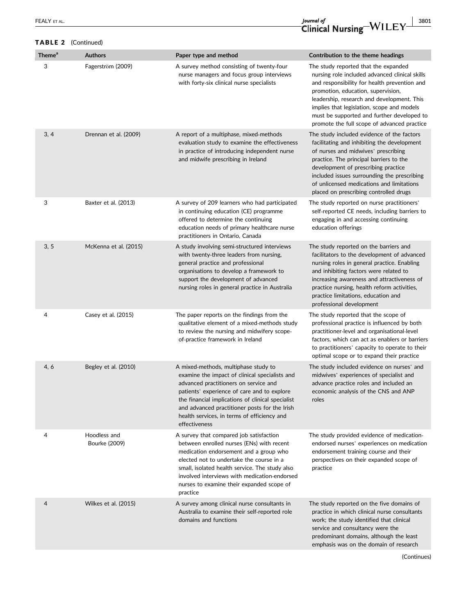## $A \, B \, I \, F \, 2$  (Continued)

FEALY ET AL. *SPEALY ET AL. Journal of Journal of Journal of* **Clinical Nursing WILEY 3801** 

| <b>IADLE 4</b> (Continued) |                               |                                                                                                                                                                                                                                                                                                                                                      |                                                                                                                                                                                                                                                                                                                                                                       |
|----------------------------|-------------------------------|------------------------------------------------------------------------------------------------------------------------------------------------------------------------------------------------------------------------------------------------------------------------------------------------------------------------------------------------------|-----------------------------------------------------------------------------------------------------------------------------------------------------------------------------------------------------------------------------------------------------------------------------------------------------------------------------------------------------------------------|
| Theme <sup>a</sup>         | <b>Authors</b>                | Paper type and method                                                                                                                                                                                                                                                                                                                                | Contribution to the theme headings                                                                                                                                                                                                                                                                                                                                    |
| 3                          | Fagerström (2009)             | A survey method consisting of twenty-four<br>nurse managers and focus group interviews<br>with forty-six clinical nurse specialists                                                                                                                                                                                                                  | The study reported that the expanded<br>nursing role included advanced clinical skills<br>and responsibility for health prevention and<br>promotion, education, supervision,<br>leadership, research and development. This<br>implies that legislation, scope and models<br>must be supported and further developed to<br>promote the full scope of advanced practice |
| 3, 4                       | Drennan et al. (2009)         | A report of a multiphase, mixed-methods<br>evaluation study to examine the effectiveness<br>in practice of introducing independent nurse<br>and midwife prescribing in Ireland                                                                                                                                                                       | The study included evidence of the factors<br>facilitating and inhibiting the development<br>of nurses and midwives' prescribing<br>practice. The principal barriers to the<br>development of prescribing practice<br>included issues surrounding the prescribing<br>of unlicensed medications and limitations<br>placed on prescribing controlled drugs              |
| 3                          | Baxter et al. (2013)          | A survey of 209 learners who had participated<br>in continuing education (CE) programme<br>offered to determine the continuing<br>education needs of primary healthcare nurse<br>practitioners in Ontario, Canada                                                                                                                                    | The study reported on nurse practitioners'<br>self-reported CE needs, including barriers to<br>engaging in and accessing continuing<br>education offerings                                                                                                                                                                                                            |
| 3, 5                       | McKenna et al. (2015)         | A study involving semi-structured interviews<br>with twenty-three leaders from nursing,<br>general practice and professional<br>organisations to develop a framework to<br>support the development of advanced<br>nursing roles in general practice in Australia                                                                                     | The study reported on the barriers and<br>facilitators to the development of advanced<br>nursing roles in general practice. Enabling<br>and inhibiting factors were related to<br>increasing awareness and attractiveness of<br>practice nursing, health reform activities,<br>practice limitations, education and<br>professional development                        |
| 4                          | Casey et al. (2015)           | The paper reports on the findings from the<br>qualitative element of a mixed-methods study<br>to review the nursing and midwifery scope-<br>of-practice framework in Ireland                                                                                                                                                                         | The study reported that the scope of<br>professional practice is influenced by both<br>practitioner-level and organisational-level<br>factors, which can act as enablers or barriers<br>to practitioners' capacity to operate to their<br>optimal scope or to expand their practice                                                                                   |
| 4, 6                       | Begley et al. (2010)          | A mixed-methods, multiphase study to<br>examine the impact of clinical specialists and<br>advanced practitioners on service and<br>patients' experience of care and to explore<br>the financial implications of clinical specialist<br>and advanced practitioner posts for the Irish<br>health services, in terms of efficiency and<br>effectiveness | The study included evidence on nurses' and<br>midwives' experiences of specialist and<br>advance practice roles and included an<br>economic analysis of the CNS and ANP<br>roles                                                                                                                                                                                      |
| 4                          | Hoodless and<br>Bourke (2009) | A survey that compared job satisfaction<br>between enrolled nurses (ENs) with recent<br>medication endorsement and a group who<br>elected not to undertake the course in a<br>small, isolated health service. The study also<br>involved interviews with medication-endorsed<br>nurses to examine their expanded scope of<br>practice                | The study provided evidence of medication-<br>endorsed nurses' experiences on medication<br>endorsement training course and their<br>perspectives on their expanded scope of<br>practice                                                                                                                                                                              |
| 4                          | Wilkes et al. (2015)          | A survey among clinical nurse consultants in<br>Australia to examine their self-reported role<br>domains and functions                                                                                                                                                                                                                               | The study reported on the five domains of<br>practice in which clinical nurse consultants<br>work; the study identified that clinical<br>service and consultancy were the<br>predominant domains, although the least<br>emphasis was on the domain of research                                                                                                        |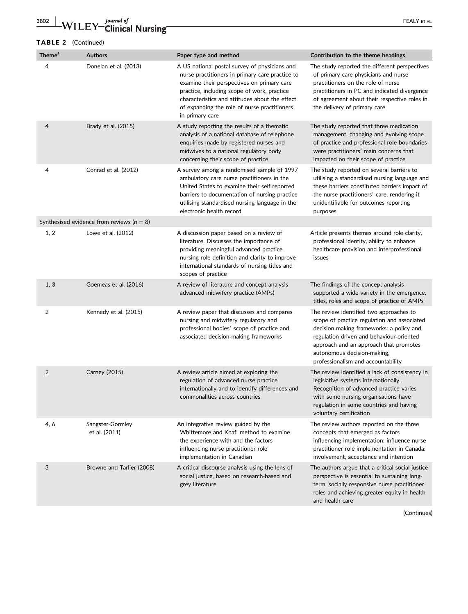# **3802** WILEY Journal of FEALY ET AL.

## TABLE 2 (Continued)

| Theme <sup>a</sup> | <b>Authors</b>                                | Paper type and method                                                                                                                                                                                                                                                                                              | Contribution to the theme headings                                                                                                                                                                                                                                                            |
|--------------------|-----------------------------------------------|--------------------------------------------------------------------------------------------------------------------------------------------------------------------------------------------------------------------------------------------------------------------------------------------------------------------|-----------------------------------------------------------------------------------------------------------------------------------------------------------------------------------------------------------------------------------------------------------------------------------------------|
| 4                  | Donelan et al. (2013)                         | A US national postal survey of physicians and<br>nurse practitioners in primary care practice to<br>examine their perspectives on primary care<br>practice, including scope of work, practice<br>characteristics and attitudes about the effect<br>of expanding the role of nurse practitioners<br>in primary care | The study reported the different perspectives<br>of primary care physicians and nurse<br>practitioners on the role of nurse<br>practitioners in PC and indicated divergence<br>of agreement about their respective roles in<br>the delivery of primary care                                   |
| $\overline{4}$     | Brady et al. (2015)                           | A study reporting the results of a thematic<br>analysis of a national database of telephone<br>enquiries made by registered nurses and<br>midwives to a national regulatory body<br>concerning their scope of practice                                                                                             | The study reported that three medication<br>management, changing and evolving scope<br>of practice and professional role boundaries<br>were practitioners' main concerns that<br>impacted on their scope of practice                                                                          |
| 4                  | Conrad et al. (2012)                          | A survey among a randomised sample of 1997<br>ambulatory care nurse practitioners in the<br>United States to examine their self-reported<br>barriers to documentation of nursing practice<br>utilising standardised nursing language in the<br>electronic health record                                            | The study reported on several barriers to<br>utilising a standardised nursing language and<br>these barriers constituted barriers impact of<br>the nurse practitioners' care, rendering it<br>unidentifiable for outcomes reporting<br>purposes                                               |
|                    | Synthesised evidence from reviews ( $n = 8$ ) |                                                                                                                                                                                                                                                                                                                    |                                                                                                                                                                                                                                                                                               |
| 1, 2               | Lowe et al. (2012)                            | A discussion paper based on a review of<br>literature. Discusses the importance of<br>providing meaningful advanced practice<br>nursing role definition and clarity to improve<br>international standards of nursing titles and<br>scopes of practice                                                              | Article presents themes around role clarity,<br>professional identity, ability to enhance<br>healthcare provision and interprofessional<br>issues                                                                                                                                             |
| 1, 3               | Goemeas et al. (2016)                         | A review of literature and concept analysis<br>advanced midwifery practice (AMPs)                                                                                                                                                                                                                                  | The findings of the concept analysis<br>supported a wide variety in the emergence,<br>titles, roles and scope of practice of AMPs                                                                                                                                                             |
| 2                  | Kennedy et al. (2015)                         | A review paper that discusses and compares<br>nursing and midwifery regulatory and<br>professional bodies' scope of practice and<br>associated decision-making frameworks                                                                                                                                          | The review identified two approaches to<br>scope of practice regulation and associated<br>decision-making frameworks: a policy and<br>regulation driven and behaviour-oriented<br>approach and an approach that promotes<br>autonomous decision-making,<br>professionalism and accountability |
| 2                  | Carney (2015)                                 | A review article aimed at exploring the<br>regulation of advanced nurse practice<br>internationally and to identify differences and<br>commonalities across countries                                                                                                                                              | The review identified a lack of consistency in<br>legislative systems internationally.<br>Recognition of advanced practice varies<br>with some nursing organisations have<br>regulation in some countries and having<br>voluntary certification                                               |
| 4, 6               | Sangster-Gormley<br>et al. (2011)             | An integrative review guided by the<br>Whittemore and Knafl method to examine<br>the experience with and the factors<br>influencing nurse practitioner role<br>implementation in Canadian                                                                                                                          | The review authors reported on the three<br>concepts that emerged as factors<br>influencing implementation: influence nurse<br>practitioner role implementation in Canada:<br>involvement, acceptance and intention                                                                           |
| 3                  | Browne and Tarlier (2008)                     | A critical discourse analysis using the lens of<br>social justice, based on research-based and<br>grey literature                                                                                                                                                                                                  | The authors argue that a critical social justice<br>perspective is essential to sustaining long-<br>term, socially responsive nurse practitioner<br>roles and achieving greater equity in health<br>and health care                                                                           |

(Continues)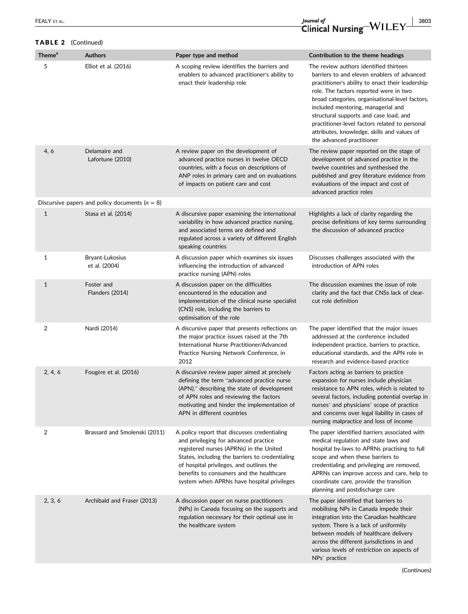## $A \, B \, I \, F \, 2$  (Continued)

| <b>IADLE 4</b> (Continued) |                                                    |                                                                                                                                                                                                                                                                                                                           |                                                                                                                                                                                                                                                                                                                                                                                                                                                      |
|----------------------------|----------------------------------------------------|---------------------------------------------------------------------------------------------------------------------------------------------------------------------------------------------------------------------------------------------------------------------------------------------------------------------------|------------------------------------------------------------------------------------------------------------------------------------------------------------------------------------------------------------------------------------------------------------------------------------------------------------------------------------------------------------------------------------------------------------------------------------------------------|
| Theme <sup>a</sup>         | <b>Authors</b>                                     | Paper type and method                                                                                                                                                                                                                                                                                                     | Contribution to the theme headings                                                                                                                                                                                                                                                                                                                                                                                                                   |
| 5                          | Elliot et al. (2016)                               | A scoping review identifies the barriers and<br>enablers to advanced practitioner's ability to<br>enact their leadership role                                                                                                                                                                                             | The review authors identified thirteen<br>barriers to and eleven enablers of advanced<br>practitioner's ability to enact their leadership<br>role. The factors reported were in two<br>broad categories, organisational-level factors,<br>included mentoring, managerial and<br>structural supports and case load, and<br>practitioner-level factors related to personal<br>attributes, knowledge, skills and values of<br>the advanced practitioner |
| 4, 6                       | Delamaire and<br>Lafortune (2010)                  | A review paper on the development of<br>advanced practice nurses in twelve OECD<br>countries, with a focus on descriptions of<br>ANP roles in primary care and on evaluations<br>of impacts on patient care and cost                                                                                                      | The review paper reported on the stage of<br>development of advanced practice in the<br>twelve countries and synthesised the<br>published and grey literature evidence from<br>evaluations of the impact and cost of<br>advanced practice roles                                                                                                                                                                                                      |
|                            | Discursive papers and policy documents ( $n = 8$ ) |                                                                                                                                                                                                                                                                                                                           |                                                                                                                                                                                                                                                                                                                                                                                                                                                      |
| $\mathbf{1}$               | Stasa et al. (2014)                                | A discursive paper examining the international<br>variability in how advanced practice nursing,<br>and associated terms are defined and<br>regulated across a variety of different English<br>speaking countries                                                                                                          | Highlights a lack of clarity regarding the<br>precise definitions of key terms surrounding<br>the discussion of advanced practice                                                                                                                                                                                                                                                                                                                    |
| $\mathbf{1}$               | Bryant-Lukosius<br>et al. (2004)                   | A discussion paper which examines six issues<br>influencing the introduction of advanced<br>practice nursing (APN) roles                                                                                                                                                                                                  | Discusses challenges associated with the<br>introduction of APN roles                                                                                                                                                                                                                                                                                                                                                                                |
| $\mathbf{1}$               | Foster and<br>Flanders (2014)                      | A discussion paper on the difficulties<br>encountered in the education and<br>implementation of the clinical nurse specialist<br>(CNS) role, including the barriers to<br>optimisation of the role                                                                                                                        | The discussion examines the issue of role<br>clarity and the fact that CNSs lack of clear-<br>cut role definition                                                                                                                                                                                                                                                                                                                                    |
| $\overline{2}$             | Nardi (2014)                                       | A discursive paper that presents reflections on<br>the major practice issues raised at the 7th<br>International Nurse Practitioner/Advanced<br>Practice Nursing Network Conference, in<br>2012                                                                                                                            | The paper identified that the major issues<br>addressed at the conference included<br>independent practice, barriers to practice,<br>educational standards, and the APN role in<br>research and evidence-based practice                                                                                                                                                                                                                              |
| 2, 4, 6                    | Fougère et al. (2016)                              | A discursive review paper aimed at precisely<br>defining the term "advanced practice nurse<br>(APN)," describing the state of development<br>of APN roles and reviewing the factors<br>motivating and hinder the implementation of<br>APN in different countries                                                          | Factors acting as barriers to practice<br>expansion for nurses include physician<br>resistance to APN roles, which is related to<br>several factors, including potential overlap in<br>nurses' and physicians' scope of practice<br>and concerns over legal liability in cases of<br>nursing malpractice and loss of income                                                                                                                          |
| 2                          | Brassard and Smolenski (2011)                      | A policy report that discusses credentialing<br>and privileging for advanced practice<br>registered nurses (APRNs) in the United<br>States, including the barriers to credentialing<br>of hospital privileges, and outlines the<br>benefits to consumers and the healthcare<br>system when APRNs have hospital privileges | The paper identified barriers associated with<br>medical regulation and state laws and<br>hospital by-laws to APRNs practising to full<br>scope and when these barriers to<br>credentialing and privileging are removed,<br>APRNs can improve access and care, help to<br>coordinate care, provide the transition<br>planning and postdischarge care                                                                                                 |
| 2, 3, 6                    | Archibald and Fraser (2013)                        | A discussion paper on nurse practitioners<br>(NPs) in Canada focusing on the supports and<br>regulation necessary for their optimal use in<br>the healthcare system                                                                                                                                                       | The paper identified that barriers to<br>mobilising NPs in Canada impede their<br>integration into the Canadian healthcare<br>system. There is a lack of uniformity<br>between models of healthcare delivery<br>across the different jurisdictions in and<br>various levels of restriction on aspects of<br>NPs' practice                                                                                                                            |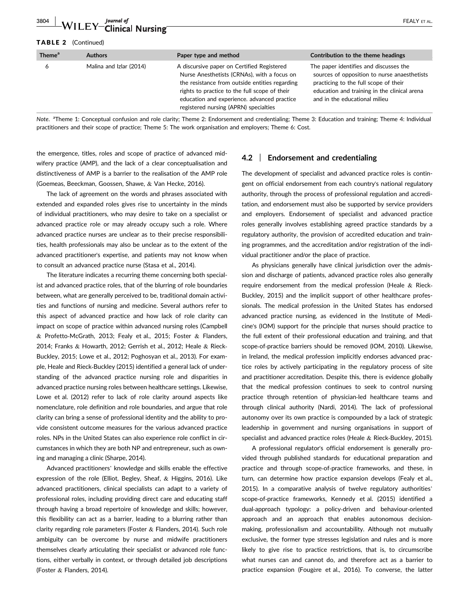#### TABLE 2 (Continued)

| Theme <sup>a</sup> | <b>Authors</b>          | Paper type and method                                                                                                                                                                                                                                                                | Contribution to the theme headings                                                                                                                                                                               |
|--------------------|-------------------------|--------------------------------------------------------------------------------------------------------------------------------------------------------------------------------------------------------------------------------------------------------------------------------------|------------------------------------------------------------------------------------------------------------------------------------------------------------------------------------------------------------------|
|                    | Malina and Izlar (2014) | A discursive paper on Certified Registered<br>Nurse Anesthetists (CRNAs), with a focus on<br>the resistance from outside entities regarding<br>rights to practice to the full scope of their<br>education and experience. advanced practice<br>registered nursing (APRN) specialties | The paper identifies and discusses the<br>sources of opposition to nurse anaesthetists<br>practicing to the full scope of their<br>education and training in the clinical arena<br>and in the educational milieu |

Note. <sup>a</sup>Theme 1: Conceptual confusion and role clarity; Theme 2: Endorsement and credentialing; Theme 3: Education and training; Theme 4: Individual practitioners and their scope of practice; Theme 5: The work organisation and employers; Theme 6: Cost.

the emergence, titles, roles and scope of practice of advanced midwifery practice (AMP), and the lack of a clear conceptualisation and distinctiveness of AMP is a barrier to the realisation of the AMP role (Goemeas, Beeckman, Goossen, Shawe, & Van Hecke, 2016).

The lack of agreement on the words and phrases associated with extended and expanded roles gives rise to uncertainty in the minds of individual practitioners, who may desire to take on a specialist or advanced practice role or may already occupy such a role. Where advanced practice nurses are unclear as to their precise responsibilities, health professionals may also be unclear as to the extent of the advanced practitioner's expertise, and patients may not know when to consult an advanced practice nurse (Stasa et al., 2014).

The literature indicates a recurring theme concerning both specialist and advanced practice roles, that of the blurring of role boundaries between, what are generally perceived to be, traditional domain activities and functions of nursing and medicine. Several authors refer to this aspect of advanced practice and how lack of role clarity can impact on scope of practice within advanced nursing roles (Campbell & Profetto‐McGrath, 2013; Fealy et al., 2015; Foster & Flanders, 2014; Franks & Howarth, 2012; Gerrish et al., 2012; Heale & Rieck‐ Buckley, 2015; Lowe et al., 2012; Poghosyan et al., 2013). For example, Heale and Rieck‐Buckley (2015) identified a general lack of understanding of the advanced practice nursing role and disparities in advanced practice nursing roles between healthcare settings. Likewise, Lowe et al. (2012) refer to lack of role clarity around aspects like nomenclature, role definition and role boundaries, and argue that role clarity can bring a sense of professional identity and the ability to provide consistent outcome measures for the various advanced practice roles. NPs in the United States can also experience role conflict in circumstances in which they are both NP and entrepreneur, such as owning and managing a clinic (Sharpe, 2014).

Advanced practitioners' knowledge and skills enable the effective expression of the role (Elliot, Begley, Sheaf, & Higgins, 2016). Like advanced practitioners, clinical specialists can adapt to a variety of professional roles, including providing direct care and educating staff through having a broad repertoire of knowledge and skills; however, this flexibility can act as a barrier, leading to a blurring rather than clarity regarding role parameters (Foster & Flanders, 2014). Such role ambiguity can be overcome by nurse and midwife practitioners themselves clearly articulating their specialist or advanced role functions, either verbally in context, or through detailed job descriptions (Foster & Flanders, 2014).

#### **4.2** | **Endorsement and credentialing**

The development of specialist and advanced practice roles is contingent on official endorsement from each country's national regulatory authority, through the process of professional regulation and accreditation, and endorsement must also be supported by service providers and employers. Endorsement of specialist and advanced practice roles generally involves establishing agreed practice standards by a regulatory authority, the provision of accredited education and training programmes, and the accreditation and/or registration of the individual practitioner and/or the place of practice.

As physicians generally have clinical jurisdiction over the admission and discharge of patients, advanced practice roles also generally require endorsement from the medical profession (Heale & Rieck‐ Buckley, 2015) and the implicit support of other healthcare professionals. The medical profession in the United States has endorsed advanced practice nursing, as evidenced in the Institute of Medicine's (IOM) support for the principle that nurses should practice to the full extent of their professional education and training, and that scope‐of‐practice barriers should be removed (IOM, 2010). Likewise, in Ireland, the medical profession implicitly endorses advanced practice roles by actively participating in the regulatory process of site and practitioner accreditation. Despite this, there is evidence globally that the medical profession continues to seek to control nursing practice through retention of physician‐led healthcare teams and through clinical authority (Nardi, 2014). The lack of professional autonomy over its own practice is compounded by a lack of strategic leadership in government and nursing organisations in support of specialist and advanced practice roles (Heale & Rieck-Buckley, 2015).

A professional regulator's official endorsement is generally provided through published standards for educational preparation and practice and through scope‐of‐practice frameworks, and these, in turn, can determine how practice expansion develops (Fealy et al., 2015). In a comparative analysis of twelve regulatory authorities' scope‐of‐practice frameworks, Kennedy et al. (2015) identified a dual‐approach typology: a policy‐driven and behaviour‐oriented approach and an approach that enables autonomous decisionmaking, professionalism and accountability. Although not mutually exclusive, the former type stresses legislation and rules and is more likely to give rise to practice restrictions, that is, to circumscribe what nurses can and cannot do, and therefore act as a barrier to practice expansion (Fougère et al., 2016). To converse, the latter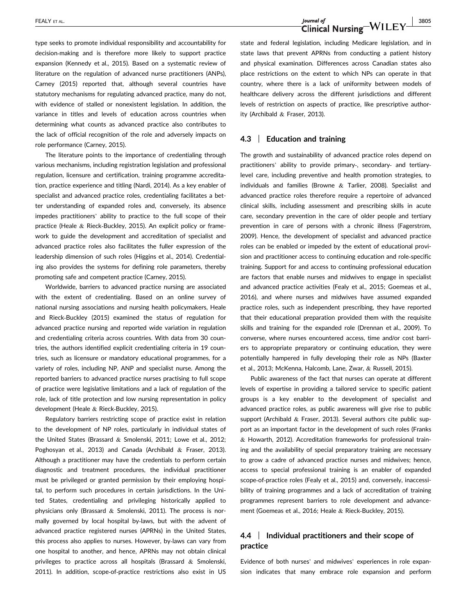type seeks to promote individual responsibility and accountability for decision‐making and is therefore more likely to support practice expansion (Kennedy et al., 2015). Based on a systematic review of literature on the regulation of advanced nurse practitioners (ANPs), Carney (2015) reported that, although several countries have statutory mechanisms for regulating advanced practice, many do not, with evidence of stalled or nonexistent legislation. In addition, the variance in titles and levels of education across countries when determining what counts as advanced practice also contributes to the lack of official recognition of the role and adversely impacts on role performance (Carney, 2015).

The literature points to the importance of credentialing through various mechanisms, including registration legislation and professional regulation, licensure and certification, training programme accreditation, practice experience and titling (Nardi, 2014). As a key enabler of specialist and advanced practice roles, credentialing facilitates a better understanding of expanded roles and, conversely, its absence impedes practitioners' ability to practice to the full scope of their practice (Heale & Rieck‐Buckley, 2015). An explicit policy or framework to guide the development and accreditation of specialist and advanced practice roles also facilitates the fuller expression of the leadership dimension of such roles (Higgins et al., 2014). Credentialing also provides the systems for defining role parameters, thereby promoting safe and competent practice (Carney, 2015).

Worldwide, barriers to advanced practice nursing are associated with the extent of credentialing. Based on an online survey of national nursing associations and nursing health policymakers, Heale and Rieck‐Buckley (2015) examined the status of regulation for advanced practice nursing and reported wide variation in regulation and credentialing criteria across countries. With data from 30 countries, the authors identified explicit credentialing criteria in 19 countries, such as licensure or mandatory educational programmes, for a variety of roles, including NP, ANP and specialist nurse. Among the reported barriers to advanced practice nurses practising to full scope of practice were legislative limitations and a lack of regulation of the role, lack of title protection and low nursing representation in policy development (Heale & Rieck‐Buckley, 2015).

Regulatory barriers restricting scope of practice exist in relation to the development of NP roles, particularly in individual states of the United States (Brassard & Smolenski, 2011; Lowe et al., 2012; Poghosyan et al., 2013) and Canada (Archibald & Fraser, 2013). Although a practitioner may have the credentials to perform certain diagnostic and treatment procedures, the individual practitioner must be privileged or granted permission by their employing hospital, to perform such procedures in certain jurisdictions. In the United States, credentialing and privileging historically applied to physicians only (Brassard & Smolenski, 2011). The process is normally governed by local hospital by‐laws, but with the advent of advanced practice registered nurses (APRNs) in the United States, this process also applies to nurses. However, by‐laws can vary from one hospital to another, and hence, APRNs may not obtain clinical privileges to practice across all hospitals (Brassard & Smolenski, 2011). In addition, scope‐of‐practice restrictions also exist in US state and federal legislation, including Medicare legislation, and in state laws that prevent APRNs from conducting a patient history and physical examination. Differences across Canadian states also place restrictions on the extent to which NPs can operate in that country, where there is a lack of uniformity between models of healthcare delivery across the different jurisdictions and different levels of restriction on aspects of practice, like prescriptive authority (Archibald & Fraser, 2013).

#### **4.3** | **Education and training**

The growth and sustainability of advanced practice roles depend on practitioners' ability to provide primary-, secondary- and tertiarylevel care, including preventive and health promotion strategies, to individuals and families (Browne & Tarlier, 2008). Specialist and advanced practice roles therefore require a repertoire of advanced clinical skills, including assessment and prescribing skills in acute care, secondary prevention in the care of older people and tertiary prevention in care of persons with a chronic illness (Fagerström, 2009). Hence, the development of specialist and advanced practice roles can be enabled or impeded by the extent of educational provision and practitioner access to continuing education and role‐specific training. Support for and access to continuing professional education are factors that enable nurses and midwives to engage in specialist and advanced practice activities (Fealy et al., 2015; Goemeas et al., 2016), and where nurses and midwives have assumed expanded practice roles, such as independent prescribing, they have reported that their educational preparation provided them with the requisite skills and training for the expanded role (Drennan et al., 2009). To converse, where nurses encountered access, time and/or cost barriers to appropriate preparatory or continuing education, they were potentially hampered in fully developing their role as NPs (Baxter et al., 2013; McKenna, Halcomb, Lane, Zwar, & Russell, 2015).

Public awareness of the fact that nurses can operate at different levels of expertise in providing a tailored service to specific patient groups is a key enabler to the development of specialist and advanced practice roles, as public awareness will give rise to public support (Archibald & Fraser, 2013). Several authors cite public support as an important factor in the development of such roles (Franks & Howarth, 2012). Accreditation frameworks for professional training and the availability of special preparatory training are necessary to grow a cadre of advanced practice nurses and midwives; hence, access to special professional training is an enabler of expanded scope-of-practice roles (Fealy et al., 2015) and, conversely, inaccessibility of training programmes and a lack of accreditation of training programmes represent barriers to role development and advancement (Goemeas et al., 2016; Heale & Rieck‐Buckley, 2015).

## **4.4** | **Individual practitioners and their scope of practice**

Evidence of both nurses' and midwives' experiences in role expansion indicates that many embrace role expansion and perform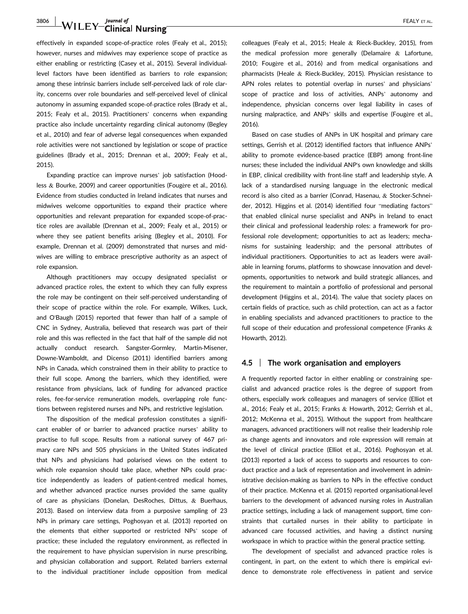**3806** WILEY Clinical Nursing **FEALY ET AL.** 

effectively in expanded scope-of-practice roles (Fealy et al., 2015); however, nurses and midwives may experience scope of practice as either enabling or restricting (Casey et al., 2015). Several individuallevel factors have been identified as barriers to role expansion; among these intrinsic barriers include self‐perceived lack of role clarity, concerns over role boundaries and self‐perceived level of clinical autonomy in assuming expanded scope‐of‐practice roles (Brady et al., 2015; Fealy et al., 2015). Practitioners' concerns when expanding practice also include uncertainty regarding clinical autonomy (Begley et al., 2010) and fear of adverse legal consequences when expanded role activities were not sanctioned by legislation or scope of practice guidelines (Brady et al., 2015; Drennan et al., 2009; Fealy et al., 2015).

Expanding practice can improve nurses' job satisfaction (Hoodless & Bourke, 2009) and career opportunities (Fougère et al., 2016). Evidence from studies conducted in Ireland indicates that nurses and midwives welcome opportunities to expand their practice where opportunities and relevant preparation for expanded scope‐of‐practice roles are available (Drennan et al., 2009; Fealy et al., 2015) or where they see patient benefits arising (Begley et al., 2010). For example, Drennan et al. (2009) demonstrated that nurses and midwives are willing to embrace prescriptive authority as an aspect of role expansion.

Although practitioners may occupy designated specialist or advanced practice roles, the extent to which they can fully express the role may be contingent on their self‐perceived understanding of their scope of practice within the role. For example, Wilkes, Luck, and O'Baugh (2015) reported that fewer than half of a sample of CNC in Sydney, Australia, believed that research was part of their role and this was reflected in the fact that half of the sample did not actually conduct research. Sangster‐Gormley, Martin‐Misener, Downe‐Wamboldt, and Dicenso (2011) identified barriers among NPs in Canada, which constrained them in their ability to practice to their full scope. Among the barriers, which they identified, were resistance from physicians, lack of funding for advanced practice roles, fee-for-service remuneration models, overlapping role functions between registered nurses and NPs, and restrictive legislation.

The disposition of the medical profession constitutes a significant enabler of or barrier to advanced practice nurses' ability to practise to full scope. Results from a national survey of 467 primary care NPs and 505 physicians in the United States indicated that NPs and physicians had polarised views on the extent to which role expansion should take place, whether NPs could practice independently as leaders of patient‐centred medical homes, and whether advanced practice nurses provided the same quality of care as physicians (Donelan, DesRoches, Dittus, & Buerhaus, 2013). Based on interview data from a purposive sampling of 23 NPs in primary care settings, Poghosyan et al. (2013) reported on the elements that either supported or restricted NPs' scope of practice; these included the regulatory environment, as reflected in the requirement to have physician supervision in nurse prescribing, and physician collaboration and support. Related barriers external to the individual practitioner include opposition from medical colleagues (Fealy et al., 2015; Heale & Rieck‐Buckley, 2015), from the medical profession more generally (Delamaire  $&$  Lafortune, 2010; Fougère et al., 2016) and from medical organisations and pharmacists (Heale & Rieck‐Buckley, 2015). Physician resistance to APN roles relates to potential overlap in nurses' and physicians' scope of practice and loss of activities, ANPs' autonomy and independence, physician concerns over legal liability in cases of nursing malpractice, and ANPs' skills and expertise (Fougère et al., 2016).

Based on case studies of ANPs in UK hospital and primary care settings, Gerrish et al. (2012) identified factors that influence ANPs' ability to promote evidence‐based practice (EBP) among front‐line nurses; these included the individual ANP's own knowledge and skills in EBP, clinical credibility with front‐line staff and leadership style. A lack of a standardised nursing language in the electronic medical record is also cited as a barrier (Conrad, Hasenau, & Stocker‐Schneider, 2012). Higgins et al. (2014) identified four "mediating factors" that enabled clinical nurse specialist and ANPs in Ireland to enact their clinical and professional leadership roles: a framework for professional role development; opportunities to act as leaders; mechanisms for sustaining leadership; and the personal attributes of individual practitioners. Opportunities to act as leaders were available in learning forums, platforms to showcase innovation and developments, opportunities to network and build strategic alliances, and the requirement to maintain a portfolio of professional and personal development (Higgins et al., 2014). The value that society places on certain fields of practice, such as child protection, can act as a factor in enabling specialists and advanced practitioners to practice to the full scope of their education and professional competence (Franks  $\&$ Howarth, 2012).

#### **4.5** | **The work organisation and employers**

A frequently reported factor in either enabling or constraining specialist and advanced practice roles is the degree of support from others, especially work colleagues and managers of service (Elliot et al., 2016; Fealy et al., 2015; Franks & Howarth, 2012; Gerrish et al., 2012; McKenna et al., 2015). Without the support from healthcare managers, advanced practitioners will not realise their leadership role as change agents and innovators and role expression will remain at the level of clinical practice (Elliot et al., 2016). Poghosyan et al. (2013) reported a lack of access to supports and resources to conduct practice and a lack of representation and involvement in administrative decision-making as barriers to NPs in the effective conduct of their practice. McKenna et al. (2015) reported organisational‐level barriers to the development of advanced nursing roles in Australian practice settings, including a lack of management support, time constraints that curtailed nurses in their ability to participate in advanced care focussed activities, and having a distinct nursing workspace in which to practice within the general practice setting.

The development of specialist and advanced practice roles is contingent, in part, on the extent to which there is empirical evidence to demonstrate role effectiveness in patient and service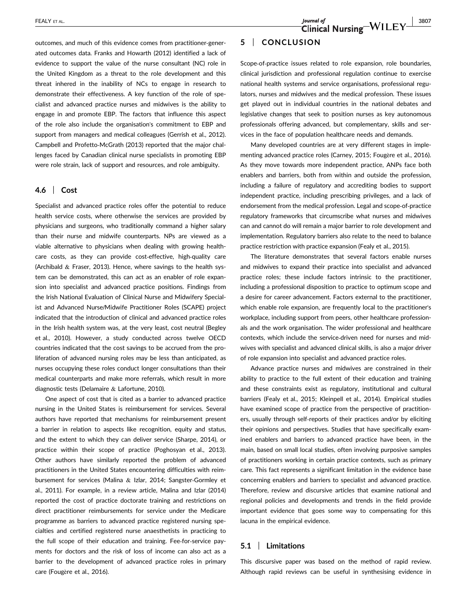outcomes, and much of this evidence comes from practitioner‐generated outcomes data. Franks and Howarth (2012) identified a lack of evidence to support the value of the nurse consultant (NC) role in the United Kingdom as a threat to the role development and this threat inhered in the inability of NCs to engage in research to demonstrate their effectiveness. A key function of the role of specialist and advanced practice nurses and midwives is the ability to engage in and promote EBP. The factors that influence this aspect of the role also include the organisation's commitment to EBP and support from managers and medical colleagues (Gerrish et al., 2012). Campbell and Profetto‐McGrath (2013) reported that the major challenges faced by Canadian clinical nurse specialists in promoting EBP were role strain, lack of support and resources, and role ambiguity.

## **4.6** | **Cost**

Specialist and advanced practice roles offer the potential to reduce health service costs, where otherwise the services are provided by physicians and surgeons, who traditionally command a higher salary than their nurse and midwife counterparts. NPs are viewed as a viable alternative to physicians when dealing with growing healthcare costs, as they can provide cost-effective, high-quality care (Archibald & Fraser, 2013). Hence, where savings to the health system can be demonstrated, this can act as an enabler of role expansion into specialist and advanced practice positions. Findings from the Irish National Evaluation of Clinical Nurse and Midwifery Specialist and Advanced Nurse/Midwife Practitioner Roles (SCAPE) project indicated that the introduction of clinical and advanced practice roles in the Irish health system was, at the very least, cost neutral (Begley et al., 2010). However, a study conducted across twelve OECD countries indicated that the cost savings to be accrued from the proliferation of advanced nursing roles may be less than anticipated, as nurses occupying these roles conduct longer consultations than their medical counterparts and make more referrals, which result in more diagnostic tests (Delamaire & Lafortune, 2010).

One aspect of cost that is cited as a barrier to advanced practice nursing in the United States is reimbursement for services. Several authors have reported that mechanisms for reimbursement present a barrier in relation to aspects like recognition, equity and status, and the extent to which they can deliver service (Sharpe, 2014), or practice within their scope of practice (Poghosyan et al., 2013). Other authors have similarly reported the problem of advanced practitioners in the United States encountering difficulties with reimbursement for services (Malina & Izlar, 2014; Sangster‐Gormley et al., 2011). For example, in a review article, Malina and Izlar (2014) reported the cost of practice doctorate training and restrictions on direct practitioner reimbursements for service under the Medicare programme as barriers to advanced practice registered nursing specialties and certified registered nurse anaesthetists in practicing to the full scope of their education and training. Fee‐for‐service payments for doctors and the risk of loss of income can also act as a barrier to the development of advanced practice roles in primary care (Fougère et al., 2016).

## **5** | **CONCLUSION**

Scope-of-practice issues related to role expansion, role boundaries, clinical jurisdiction and professional regulation continue to exercise national health systems and service organisations, professional regulators, nurses and midwives and the medical profession. These issues get played out in individual countries in the national debates and legislative changes that seek to position nurses as key autonomous professionals offering advanced, but complementary, skills and services in the face of population healthcare needs and demands.

Many developed countries are at very different stages in implementing advanced practice roles (Carney, 2015; Fougère et al., 2016). As they move towards more independent practice, ANPs face both enablers and barriers, both from within and outside the profession, including a failure of regulatory and accrediting bodies to support independent practice, including prescribing privileges, and a lack of endorsement from the medical profession. Legal and scope‐of‐practice regulatory frameworks that circumscribe what nurses and midwives can and cannot do will remain a major barrier to role development and implementation. Regulatory barriers also relate to the need to balance practice restriction with practice expansion (Fealy et al., 2015).

The literature demonstrates that several factors enable nurses and midwives to expand their practice into specialist and advanced practice roles; these include factors intrinsic to the practitioner, including a professional disposition to practice to optimum scope and a desire for career advancement. Factors external to the practitioner, which enable role expansion, are frequently local to the practitioner's workplace, including support from peers, other healthcare professionals and the work organisation. The wider professional and healthcare contexts, which include the service-driven need for nurses and midwives with specialist and advanced clinical skills, is also a major driver of role expansion into specialist and advanced practice roles.

Advance practice nurses and midwives are constrained in their ability to practice to the full extent of their education and training and these constraints exist as regulatory, institutional and cultural barriers (Fealy et al., 2015; Kleinpell et al., 2014). Empirical studies have examined scope of practice from the perspective of practitioners, usually through self‐reports of their practices and/or by eliciting their opinions and perspectives. Studies that have specifically examined enablers and barriers to advanced practice have been, in the main, based on small local studies, often involving purposive samples of practitioners working in certain practice contexts, such as primary care. This fact represents a significant limitation in the evidence base concerning enablers and barriers to specialist and advanced practice. Therefore, review and discursive articles that examine national and regional policies and developments and trends in the field provide important evidence that goes some way to compensating for this lacuna in the empirical evidence.

## **5.1** | **Limitations**

This discursive paper was based on the method of rapid review. Although rapid reviews can be useful in synthesising evidence in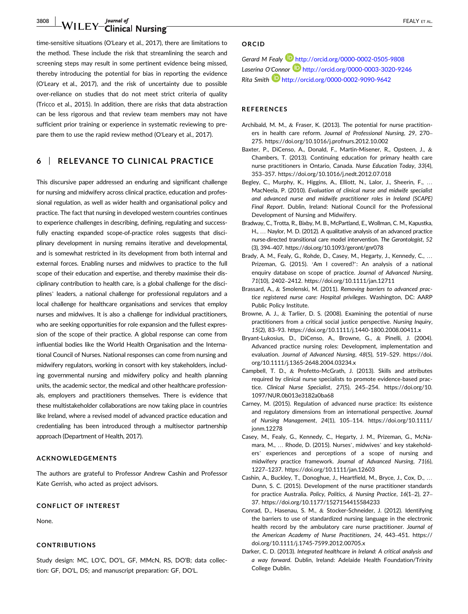**3808** WILEY Clinical Nursing **FEALY ET AL.** 

time-sensitive situations (O'Leary et al., 2017), there are limitations to the method. These include the risk that streamlining the search and screening steps may result in some pertinent evidence being missed, thereby introducing the potential for bias in reporting the evidence (O'Leary et al., 2017), and the risk of uncertainty due to possible over‐reliance on studies that do not meet strict criteria of quality (Tricco et al., 2015). In addition, there are risks that data abstraction can be less rigorous and that review team members may not have sufficient prior training or experience in systematic reviewing to prepare them to use the rapid review method (O'Leary et al., 2017).

## **6** | **RELEVANCE TO CLINICAL PRACTICE**

This discursive paper addressed an enduring and significant challenge for nursing and midwifery across clinical practice, education and professional regulation, as well as wider health and organisational policy and practice. The fact that nursing in developed western countries continues to experience challenges in describing, defining, regulating and successfully enacting expanded scope‐of‐practice roles suggests that disciplinary development in nursing remains iterative and developmental, and is somewhat restricted in its development from both internal and external forces. Enabling nurses and midwives to practice to the full scope of their education and expertise, and thereby maximise their disciplinary contribution to health care, is a global challenge for the disciplines' leaders, a national challenge for professional regulators and a local challenge for healthcare organisations and services that employ nurses and midwives. It is also a challenge for individual practitioners, who are seeking opportunities for role expansion and the fullest expression of the scope of their practice. A global response can come from influential bodies like the World Health Organisation and the International Council of Nurses. National responses can come from nursing and midwifery regulators, working in consort with key stakeholders, including governmental nursing and midwifery policy and health planning units, the academic sector, the medical and other healthcare professionals, employers and practitioners themselves. There is evidence that these multistakeholder collaborations are now taking place in countries like Ireland, where a revised model of advanced practice education and credentialing has been introduced through a multisector partnership approach (Department of Health, 2017).

#### **ACKNOWLEDGEMENTS**

The authors are grateful to Professor Andrew Cashin and Professor Kate Gerrish, who acted as project advisors.

#### **CONFLICT OF INTEREST**

None.

#### **CONTRIBUTIONS**

Study design: MC, LO'C, DO'L, GF, MMcN, RS, DO'B; data collection: GF, DO'L, DS; and manuscript preparation: GF, DO'L.

#### **ORCID**

*Gerard M Fealy* http://orcid.org/0000-0002-0505-9808 *Laserina O'Connor* http://orcid.org/0000-0003-3020-9246 *Rita Smith* http://orcid.org/0000-0002-9090-9642

## **REFERENCES**

- Archibald, M. M., & Fraser, K. (2013). The potential for nurse practitioners in health care reform. *Journal of Professional Nursing*, *29*, 270– 275.<https://doi.org/10.1016/j.profnurs.2012.10.002>
- Baxter, P., DiCenso, A., Donald, F., Martin-Misener, R., Opsteen, J., & Chambers, T. (2013). Continuing education for primary health care nurse practitioners in Ontario, Canada. *Nurse Education Today*, *33*(4), 353–357.<https://doi.org/10.1016/j.nedt.2012.07.018>
- Begley, C., Murphy, K., Higgins, A., Elliott, N., Lalor, J., Sheerin, F., … MacNeela, P. (2010). *Evaluation of clinical nurse and midwife specialist and advanced nurse and midwife practitioner roles in Ireland (SCAPE) Final Report*. Dublin, Ireland: National Council for the Professional Development of Nursing and Midwifery.
- Bradway, C., Trotta, R., Bixby, M. B., McPartland, E., Wollman, C. M., Kapustka, H., … Naylor, M. D. (2012). A qualitative analysis of an advanced practice nurse‐directed transitional care model intervention. *The Gerontologist*, *52* (3), 394–407.<https://doi.org/10.1093/geront/gnr078>
- Brady, A. M., Fealy, G., Rohde, D., Casey, M., Hegarty, J., Kennedy, C., … Prizeman, G. (2015). 'Am I covered?': An analysis of a national enquiry database on scope of practice. *Journal of Advanced Nursing*, *71*(10), 2402–2412.<https://doi.org/10.1111/jan.12711>
- Brassard, A., & Smolenski, M. (2011). *Removing barriers to advanced practice registered nurse care: Hospital privileges*. Washington, DC: AARP Public Policy Institute.
- Browne, A. J., & Tarlier, D. S. (2008). Examining the potential of nurse practitioners from a critical social justice perspective. *Nursing Inquiry*, *15*(2), 83–93.<https://doi.org/10.1111/j.1440-1800.2008.00411.x>
- Bryant-Lukosius, D., DiCenso, A., Browne, G., & Pinelli, J. (2004). Advanced practice nursing roles: Development, implementation and evaluation. *Journal of Advanced Nursing*, *48*(5), 519–529. [https://doi.](https://doi.org/10.1111/j.1365-2648.2004.03234.x) [org/10.1111/j.1365-2648.2004.03234.x](https://doi.org/10.1111/j.1365-2648.2004.03234.x)
- Campbell, T. D., & Profetto-McGrath, J. (2013). Skills and attributes required by clinical nurse specialists to promote evidence‐based practice. *Clinical Nurse Specialist*, *27*(5), 245–254. [https://doi.org/10.](https://doi.org/10.1097/NUR.0b013e3182a0ba68) [1097/NUR.0b013e3182a0ba68](https://doi.org/10.1097/NUR.0b013e3182a0ba68)
- Carney, M. (2015). Regulation of advanced nurse practice: Its existence and regulatory dimensions from an international perspective. *Journal of Nursing Management*, *24*(1), 105–114. [https://doi.org/10.1111/](https://doi.org/10.1111/jonm.12278) [jonm.12278](https://doi.org/10.1111/jonm.12278)
- Casey, M., Fealy, G., Kennedy, C., Hegarty, J. M., Prizeman, G., McNamara, M., … Rhode, D. (2015). Nurses', midwives' and key stakeholders' experiences and perceptions of a scope of nursing and midwifery practice framework. *Journal of Advanced Nursing*, *71*(6), 1227–1237.<https://doi.org/10.1111/jan.12603>
- Cashin, A., Buckley, T., Donoghue, J., Heartfield, M., Bryce, J., Cox, D., … Dunn, S. C. (2015). Development of the nurse practitioner standards for practice Australia. *Policy, Politics, & Nursing Practice*, *16*(1–2), 27– 37.<https://doi.org/10.1177/1527154415584233>
- Conrad, D., Hasenau, S. M., & Stocker-Schneider, J. (2012). Identifying the barriers to use of standardized nursing language in the electronic health record by the ambulatory care nurse practitioner. *Journal of the American Academy of Nurse Practitioners*, *24*, 443–451. [https://](https://doi.org/10.1111/j.1745-7599.2012.00705.x) [doi.org/10.1111/j.1745-7599.2012.00705.x](https://doi.org/10.1111/j.1745-7599.2012.00705.x)
- Darker, C. D. (2013). *Integrated healthcare in Ireland: A critical analysis and a way forward*. Dublin, Ireland: Adelaide Health Foundation/Trinity College Dublin.